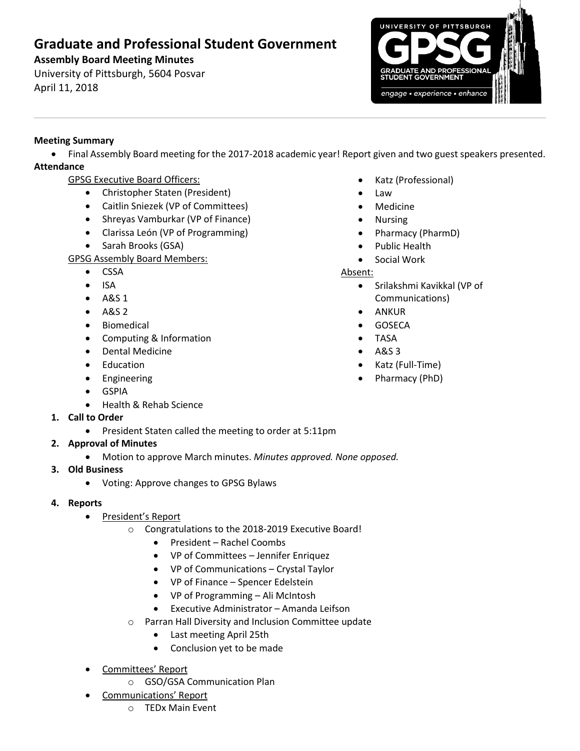# **Graduate and Professional Student Government**

# **Assembly Board Meeting Minutes**

University of Pittsburgh, 5604 Posvar April 11, 2018



### **Meeting Summary**

• Final Assembly Board meeting for the 2017-2018 academic year! Report given and two guest speakers presented. **Attendance**

- GPSG Executive Board Officers:
	- Christopher Staten (President)
	- Caitlin Sniezek (VP of Committees)
	- Shreyas Vamburkar (VP of Finance)
	- Clarissa León (VP of Programming)
	- Sarah Brooks (GSA)

## GPSG Assembly Board Members:

- CSSA
- ISA
- A&S 1
- A&S 2
- Biomedical
- Computing & Information
- Dental Medicine
- Education
- Engineering
- GSPIA
- Health & Rehab Science
- **1. Call to Order**
	- President Staten called the meeting to order at 5:11pm
- **2. Approval of Minutes** 
	- Motion to approve March minutes. *Minutes approved. None opposed.*
- **3. Old Business**
	- Voting: Approve changes to GPSG Bylaws
- **4. Reports** 
	- President's Report
		- o Congratulations to the 2018-2019 Executive Board!
			- President Rachel Coombs
			- VP of Committees Jennifer Enriquez
			- VP of Communications Crystal Taylor
			- VP of Finance Spencer Edelstein
			- VP of Programming Ali McIntosh
			- Executive Administrator Amanda Leifson
		- o Parran Hall Diversity and Inclusion Committee update
			- Last meeting April 25th
			- Conclusion yet to be made
	- Committees' Report
		- o GSO/GSA Communication Plan
	- Communications' Report
		- o TEDx Main Event
- Katz (Professional)
- Law
- Medicine
- Nursing
- Pharmacy (PharmD)
- Public Health
- Social Work

### Absent:

- Srilakshmi Kavikkal (VP of Communications)
- ANKUR
- GOSECA
- TASA
- A&S 3
- Katz (Full-Time)
- Pharmacy (PhD)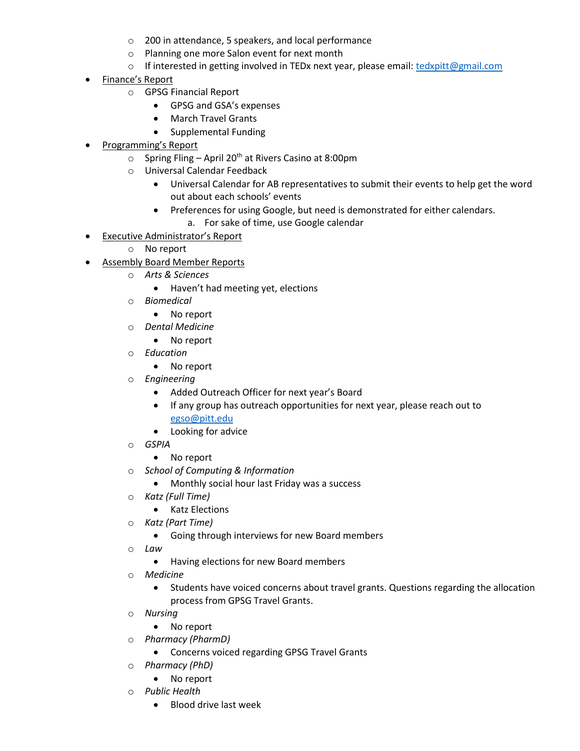- o 200 in attendance, 5 speakers, and local performance
- o Planning one more Salon event for next month
- o If interested in getting involved in TEDx next year, please email: [tedxpitt@gmail.com](mailto:tedxpitt@gmail.com)
- Finance's Report
	- o GPSG Financial Report
		- GPSG and GSA's expenses
		- March Travel Grants
		- Supplemental Funding
- Programming's Report
	- $\circ$  Spring Fling April 20<sup>th</sup> at Rivers Casino at 8:00pm
	- o Universal Calendar Feedback
		- Universal Calendar for AB representatives to submit their events to help get the word out about each schools' events
		- Preferences for using Google, but need is demonstrated for either calendars.
			- a. For sake of time, use Google calendar
- Executive Administrator's Report
	- o No report
- Assembly Board Member Reports
	- o *Arts & Sciences*
		- Haven't had meeting yet, elections
	- o *Biomedical*
		- No report
	- o *Dental Medicine*
		- No report
	- o *Education*
		- No report
	- o *Engineering*
		- Added Outreach Officer for next year's Board
		- If any group has outreach opportunities for next year, please reach out to [egso@pitt.edu](mailto:egso@pitt.edu)
		- Looking for advice
	- o *GSPIA*
		- No report
	- o *School of Computing & Information*
		- Monthly social hour last Friday was a success
	- o *Katz (Full Time)*
		- Katz Elections
	- o *Katz (Part Time)*
		- Going through interviews for new Board members
	- o *Law*
		- Having elections for new Board members
	- o *Medicine*
		- Students have voiced concerns about travel grants. Questions regarding the allocation process from GPSG Travel Grants.
	- o *Nursing* 
		- No report
	- o *Pharmacy (PharmD)*
		- Concerns voiced regarding GPSG Travel Grants
	- o *Pharmacy (PhD)*
		- No report
	- o *Public Health*
		- Blood drive last week